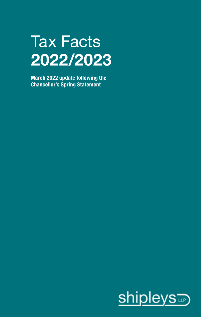# Tax Facts **2022/2023**

**March 2022 update following the Chancellor's Spring Statement**

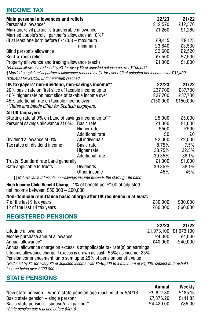# **INCOME TAX**

| <b>Main personal allowances and reliefs</b><br>Personal allowance*  |                                                                                                             | 22/23<br>£12,570 | 21/22<br>£12,570      |
|---------------------------------------------------------------------|-------------------------------------------------------------------------------------------------------------|------------------|-----------------------|
| Marriage/civil partner's transferable allowance                     |                                                                                                             | £1.260           | £1.260                |
| Married couple's/civil partner's allowance at 10% <sup>†</sup>      |                                                                                                             |                  |                       |
| (if at least one born before 6/4/35) - maximum                      |                                                                                                             | £9.415           | £9.125                |
|                                                                     | $-$ minimum                                                                                                 | £3,640           | £3,530                |
| Blind person's allowance                                            |                                                                                                             | £2.600           | £2.520                |
| Rent-a-room relief                                                  |                                                                                                             | £7,500           | £7,500                |
| Property allowance and trading allowance (each)                     |                                                                                                             | £1,000           | £1,000                |
|                                                                     | *Personal allowance reduced by £1 for every £2 of adjusted net income over £100,000                         |                  |                       |
|                                                                     | t Married couple's/civil partner's allowance reduced by £1 for every £2 of adjusted net income over £31,400 |                  |                       |
| (£30,400 for 21/22), until minimum reached                          |                                                                                                             |                  |                       |
| UK taxpayers' non-dividend, non-savings income**                    |                                                                                                             | 22/23            | 21/22                 |
| 20% basic rate on first slice of taxable income up to               |                                                                                                             | £37,700          | £37,700               |
| 40% higher rate on next slice of taxable income over                |                                                                                                             | £37.700          | £37,700               |
| 45% additional rate on taxable income over                          |                                                                                                             | £150.000         | £150,000              |
| **Rates and bands differ for Scottish taxpayers.                    |                                                                                                             |                  |                       |
| All UK taxpayers                                                    |                                                                                                             |                  |                       |
| Starting rate at 0% on band of savings income up to <sup>††</sup>   |                                                                                                             | £5.000           | £5,000                |
| Personal savings allowance at 0%: Basic rate                        |                                                                                                             | £1,000           | £1,000                |
|                                                                     | Higher rate                                                                                                 | £500             | £500                  |
|                                                                     | <b>Additional rate</b>                                                                                      | £0               | £0                    |
| Dividend allowance at 0%:                                           | All individuals                                                                                             | £2,000           | £2.000                |
| Tax rates on dividend income:                                       | Basic rate                                                                                                  | 8.75%            | 7.5%                  |
|                                                                     | Higher rate                                                                                                 | 33.75%           | 32.5%                 |
|                                                                     | <b>Additional rate</b>                                                                                      | 39.35%           | 38.1%                 |
| Trusts: Standard rate band generally<br>Rate applicable to trusts:  | <b>Dividends</b>                                                                                            | £1,000<br>39.35% | £1,000<br>38.1%       |
|                                                                     | Other income                                                                                                | 45%              | 45%                   |
|                                                                     | ttNot available if taxable non-savings income exceeds the starting rate band                                |                  |                       |
|                                                                     |                                                                                                             |                  |                       |
| High Income Child Benefit Charge 1% of benefit per £100 of adjusted |                                                                                                             |                  |                       |
| net income between £50,000 - £60,000                                |                                                                                                             |                  |                       |
|                                                                     | Non-domicile remittance basis charge after UK residence in at least:                                        |                  |                       |
| 7 of the last 9 tax years                                           |                                                                                                             | £30,000          | £30,000               |
| 12 of the last 14 tax years                                         |                                                                                                             | £60,000          | £60,000               |
| <b>REGISTERED PENSIONS</b>                                          |                                                                                                             |                  |                       |
|                                                                     |                                                                                                             | 22/23            | 21/22                 |
| Lifetime allowance                                                  |                                                                                                             |                  | £1,073,100 £1,073,100 |
| Money purchase annual allowance                                     |                                                                                                             | £4,000           | £4,000                |
| Annual allowance*                                                   |                                                                                                             | £40.000          | £40.000               |
|                                                                     | Annual allowance charge on excess is at applicable tax rate(s) on earnings                                  |                  |                       |
|                                                                     | Lifetime allowance charge if excess is drawn as cash: 55%; as income: 25%                                   |                  |                       |
| Pension commencement lump sum up to 25% of pension benefit value    |                                                                                                             |                  |                       |
| income being over £200,000                                          | *Reduced by £1 for every £2 of adjusted income over £240,000 to a minimum of £4,000, subject to threshold   |                  |                       |
| <b>STATE PENSIONS</b>                                               |                                                                                                             |                  |                       |
|                                                                     |                                                                                                             | Annual           | Weeklv                |

| New state pension – where state pension age reached after 5/4/16 | £9.627.80 | £185.15 |
|------------------------------------------------------------------|-----------|---------|
| Basic state pension – single person*                             | £7.376.20 | £141.85 |
| Basic state pension – spouse/civil partner*                      | £4.420.00 | £85.00  |
| *State pension age reached before 6/4/16                         |           |         |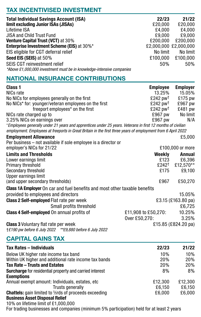# **TAX INCENTIVISED INVESTMENT**

| <b>Total Individual Savings Account (ISA)</b>                         | 22/23                 | 21/22    |
|-----------------------------------------------------------------------|-----------------------|----------|
| limit excluding Junior ISAs (JISAs)                                   | £20,000               | £20.000  |
| Lifetime ISA                                                          | £4.000                | £4.000   |
| <b>JISA and Child Trust Fund</b>                                      | £9.000                | £9.000   |
| <b>Venture Capital Trust (VCT) at 30%</b>                             | £200.000              | £200.000 |
| <b>Enterprise Investment Scheme (EIS) at 30%*</b>                     | £2,000,000 £2,000,000 |          |
| EIS eligible for CGT deferral relief                                  | No limit              | No limit |
| Seed EIS (SEIS) at 50%                                                | £100.000              | £100.000 |
| SEIS CGT reinvestment relief                                          | 50%                   | 50%      |
| *Above £1,000,000 investment must be in knowledge-intensive companies |                       |          |

# **NATIONAL INSURANCE CONTRIBUTIONS**

| Class 1                                                                                                                                                                                                                     | <b>Employee</b>        | <b>Employer</b>     |
|-----------------------------------------------------------------------------------------------------------------------------------------------------------------------------------------------------------------------------|------------------------|---------------------|
| NICs rate                                                                                                                                                                                                                   | 13.25%                 | 15.05%              |
| No NICs for employees generally on the first                                                                                                                                                                                | $£242$ pw <sup>†</sup> | £175 pw             |
| No NICs* for: younger/veteran employees on the first                                                                                                                                                                        | £242 pw <sup>+</sup>   | £967 pw             |
| freeport employees* on the first                                                                                                                                                                                            | £242 pw <sup>+</sup>   | £481 pw             |
| NICs rate charged up to                                                                                                                                                                                                     | £967 pw                | No limit            |
| 3.25% NICs on earnings over                                                                                                                                                                                                 | £967 pw                | N/A                 |
| *Employees generally under 21 years and apprentices under 25 years. Veterans in first 12 months of civilian<br>employment. Employees at freeports in Great Britain in the first three years of employment from 6 April 2022 |                        |                     |
| <b>Employment Allowance</b>                                                                                                                                                                                                 |                        | £5,000              |
| Per business – not available if sole employee is a director or                                                                                                                                                              |                        |                     |
| employer's NICs for 21/22                                                                                                                                                                                                   |                        | £100,000 or more    |
| <b>Limits and Thresholds</b>                                                                                                                                                                                                | Weekly                 | Annual              |
| Lower earnings limit                                                                                                                                                                                                        | £123                   | £6,396              |
| Primary threshold                                                                                                                                                                                                           | £242†                  | £12,570**           |
| Secondary threshold                                                                                                                                                                                                         | £175                   | £9,100              |
| Upper earnings limit                                                                                                                                                                                                        |                        |                     |
| (and upper secondary thresholds)                                                                                                                                                                                            | £967                   | £50,270             |
| <b>Class 1A Employer</b> On car and fuel benefits and most other taxable benefits                                                                                                                                           |                        |                     |
| provided to employees and directors                                                                                                                                                                                         |                        | 15.05%              |
| Class 2 Self-employed Flat rate per week                                                                                                                                                                                    |                        | £3.15 (£163.80 pa)  |
| Small profits threshold                                                                                                                                                                                                     |                        | £6,725              |
| <b>Class 4 Self-employed</b> On annual profits of                                                                                                                                                                           | £11,908 to £50,270:    | 10.25%              |
|                                                                                                                                                                                                                             | Over £50,270:          | 3.25%               |
| <b>Class 3</b> Voluntary flat rate per week                                                                                                                                                                                 |                        | £15.85 (£824.20 pa) |
| †£190 pw before 6 July 2022 **£9,880 before 6 July 2022                                                                                                                                                                     |                        |                     |

## **CAPITAL GAINS TAX**

| <b>Tax Rates - Individuals</b>                                                            | 22/23   | 21/22      |
|-------------------------------------------------------------------------------------------|---------|------------|
| Below UK higher rate income tax band                                                      | 10%     | 10%        |
| Within UK higher and additional rate income tax bands                                     | 20%     | <b>20%</b> |
| <b>Tax Rate - Trusts and Estates</b>                                                      | 20%     | 20%        |
| <b>Surcharge</b> for residential property and carried interest<br><b>Exemptions</b>       | 8%      | 8%         |
| Annual exempt amount: Individuals, estates, etc.                                          | £12.300 | £12.300    |
| <b>Trusts generally</b>                                                                   | £6.150  | £6.150     |
| <b>Chattels:</b> gain limited to <sup>5</sup> /srds of proceeds exceeding                 | £6.000  | £6.000     |
| <b>Business Asset Disposal Relief</b>                                                     |         |            |
| 10% on lifetime limit of £1,000,000                                                       |         |            |
| For trading businesses and companies (minimum 5% participation) held for at least 2 years |         |            |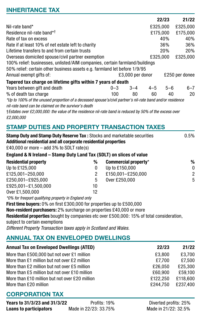## **INHERITANCE TAX**

|                                                                                                           |         |                  |          | 22/23   | 21/22          |
|-----------------------------------------------------------------------------------------------------------|---------|------------------|----------|---------|----------------|
| Nil-rate band*                                                                                            |         |                  | £325.000 |         | £325.000       |
| Residence nil-rate band*†                                                                                 |         |                  | £175,000 |         | £175.000       |
| Rate of tax on excess                                                                                     |         |                  |          | 40%     | 40%            |
| Rate if at least 10% of net estate left to charity                                                        |         |                  |          | 36%     | 36%            |
| Lifetime transfers to and from certain trusts                                                             |         |                  |          | 20%     | <b>20%</b>     |
| Overseas domiciled spouse/civil partner exemption                                                         |         |                  | £325,000 |         | £325.000       |
| 100% relief: businesses, unlisted/AIM companies, certain farmland/buildings                               |         |                  |          |         |                |
| 50% relief: certain other business assets e.g. farmland let before 1/9/95                                 |         |                  |          |         |                |
| Annual exempt gifts of:                                                                                   |         | £3.000 per donor |          |         | £250 per donee |
| Tapered tax charge on lifetime gifts within 7 years of death                                              |         |                  |          |         |                |
| Years between gift and death                                                                              | $0 - 3$ | $3 - 4$          | $4 - 5$  | $5 - 6$ | $6 - 7$        |
| % of death tax charge                                                                                     | 100     | 80               | 60       | 40      | 20             |
| tlp to 100% of the unused preparties of a decessed enouge's/obul pertper's pil rate band and/or regidence |         |                  |          |         |                |

*\*Up to 100% of the unused proportion of a deceased spouse's/civil partner's nil-rate band and/or residence nil-rate band can be claimed on the survivor's death* 

†*Estates over £2,000,000: the value of the residence nil-rate band is reduced by 50% of the excess over £2,000,000*

# **STAMP DUTIES AND PROPERTY TRANSACTION TAXES**

| Stamp Duty and Stamp Duty Reserve Tax: Stocks and marketable securities<br>Additional residential and all corporate residential properties<br>£40,000 or more $-$ add 3% to SDLT rate(s) |    |                      |       | 0.5%           |
|------------------------------------------------------------------------------------------------------------------------------------------------------------------------------------------|----|----------------------|-------|----------------|
|                                                                                                                                                                                          |    |                      |       |                |
| England & N Ireland - Stamp Duty Land Tax (SDLT) on slices of value                                                                                                                      |    |                      |       |                |
| <b>Residential property</b>                                                                                                                                                              | %  | Commercial property* |       | %              |
| Up to £125,000                                                                                                                                                                           | 0  | Up to £150,000       |       | $\Omega$       |
| £125,001-250,000                                                                                                                                                                         | 2  | £150,001-£250,000    |       | $\overline{2}$ |
| £250.001-£925.000                                                                                                                                                                        | 5  | Over £250,000        |       | 5              |
| £925.001-£1.500.000                                                                                                                                                                      | 10 |                      |       |                |
| Over £1.500.000                                                                                                                                                                          | 12 |                      |       |                |
| *0% for freeport qualifying property in England only                                                                                                                                     |    |                      |       |                |
| First time buyers: 0% on first £300,000 for properties up to £500,000                                                                                                                    |    |                      |       |                |
| Non-resident purchasers: 2% surcharge on properties £40,000 or more                                                                                                                      |    |                      |       |                |
| <b>Residential properties</b> bought by companies etc over £500,000: 15% of total consideration,                                                                                         |    |                      |       |                |
| subject to certain exemptions                                                                                                                                                            |    |                      |       |                |
| Different Property Transaction taxes apply in Scotland and Wales.                                                                                                                        |    |                      |       |                |
| <b>ANNUAL TAX ON ENVELOPED DWELLINGS</b>                                                                                                                                                 |    |                      |       |                |
| <b>Annual Tax on Enveloped Dwellings (ATED)</b>                                                                                                                                          |    |                      | 22/23 | 21/22          |

| 22/23<br><b>Annual Tax on Enveloped Dwellings (ATED)</b>   | 21/22    |
|------------------------------------------------------------|----------|
| More than £500,000 but not over £1 million<br>£3.800       | £3.700   |
| More than £1 million but not over £2 million<br>£7.700     | £7.500   |
| More than £2 million but not over £5 million<br>£26.050    | £25.300  |
| More than £5 million but not over £10 million<br>£60.900   | £59.100  |
| More than £10 million but not over £20 million<br>£122.250 | £118.600 |
| More than £20 million<br>£244.750                          | £237.400 |

# **CORPORATION TAX**

| Years to 31/3/23 and 31/3/22  | Profits: 19%          |
|-------------------------------|-----------------------|
| <b>Loans to participators</b> | Made in 22/23: 33.75% |

Diverted profits: 25% **Loans to participators** Made in 22/23: 33.75% Made in 21/22: 32.5%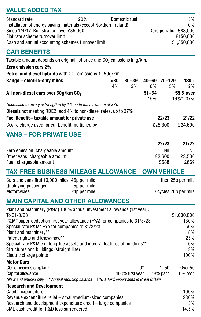# **VALUE ADDED TAX**

| 20%<br>Standard rate<br>Installation of energy saving materials (except Northern Ireland)<br>Since 1/4/17: Registration level £85,000<br>Flat rate scheme turnover limit<br>Cash and annual accounting schemes turnover limit                                                                                                                                                                                                                 |            | Domestic fuel    |                    |                                | 5%<br>0%<br>Deregistration £83,000<br>£150.000<br>£1,350,000 |
|-----------------------------------------------------------------------------------------------------------------------------------------------------------------------------------------------------------------------------------------------------------------------------------------------------------------------------------------------------------------------------------------------------------------------------------------------|------------|------------------|--------------------|--------------------------------|--------------------------------------------------------------|
| <b>CAR BENEFITS</b>                                                                                                                                                                                                                                                                                                                                                                                                                           |            |                  |                    |                                |                                                              |
| Taxable amount depends on original list price and CO <sub>2</sub> emissions in g/km.<br>Zero emission cars 2%.<br>Petrol and diesel hybrids with CO <sub>2</sub> emissions 1-50g/km                                                                                                                                                                                                                                                           |            |                  |                    |                                |                                                              |
| Range - electric-only miles                                                                                                                                                                                                                                                                                                                                                                                                                   | -30<br>14% | $30 - 39$<br>12% | 40-69 70-129<br>8% | 5%                             | $130+$<br>2%                                                 |
| All non-diesel cars over 50g/km CO <sub>2</sub>                                                                                                                                                                                                                                                                                                                                                                                               |            |                  | $51 - 54$<br>15%   |                                | 55 & over<br>16%*-37%                                        |
| *Increased for every extra 5g/km by 1% up to the maximum of 37%<br><b>Diesels</b> not meeting RDE2: add 4% to non-diesel rates, up to 37%<br>Fuel Benefit - taxable amount for private use                                                                                                                                                                                                                                                    |            |                  |                    | 22/23                          | 21/22                                                        |
| $CO2$ % charge used for car benefit multiplied by                                                                                                                                                                                                                                                                                                                                                                                             |            |                  |                    | £25,300                        | £24,600                                                      |
| <b>VANS - FOR PRIVATE USE</b>                                                                                                                                                                                                                                                                                                                                                                                                                 |            |                  |                    |                                |                                                              |
| Zero emission: chargeable amount<br>Other vans: chargeable amount<br>Fuel: chargeable amount                                                                                                                                                                                                                                                                                                                                                  |            |                  |                    | 22/23<br>Nil<br>£3,600<br>£688 | 21/22<br>Nil<br>£3,500<br>£669                               |
| TAX-FREE BUSINESS MILEAGE ALLOWANCE - OWN VEHICLE                                                                                                                                                                                                                                                                                                                                                                                             |            |                  |                    |                                |                                                              |
| Cars and vans first 10,000 miles 45p per mile<br>Qualifying passenger<br>5p per mile<br>Motorcycles<br>24p per mile                                                                                                                                                                                                                                                                                                                           |            |                  |                    |                                | then 25p per mile<br>Bicycles 20p per mile                   |
| <b>MAIN CAPITAL AND OTHER ALLOWANCES</b>                                                                                                                                                                                                                                                                                                                                                                                                      |            |                  |                    |                                |                                                              |
| Plant and machinery (P&M) 100% annual investment allowance (1st year):<br>To 31/3/23<br>P&M* super-deduction first year allowance (FYA) for companies to 31/3/23<br>Special rate P&M* FYA for companies to 31/3/23<br>Plant and machinery**<br>Patent rights and know-how**<br>Special rate P&M e.g. long-life assets and integral features of buildings**<br>Structures and buildings (straight line) <sup>†</sup><br>Electric charge points |            |                  |                    |                                | £1,000,000<br>130%<br>50%<br>18%<br>25%<br>6%<br>3%<br>100%  |
| <b>Motor Cars</b><br>CO <sub>2</sub> emissions of q/km:                                                                                                                                                                                                                                                                                                                                                                                       |            |                  | U <sub>*</sub>     | $1 - 50$                       | <b>Over 50</b>                                               |
| Capital allowance:<br>*New and unused only **Annual reducing balance †10% for freeport sites in Great Britain                                                                                                                                                                                                                                                                                                                                 |            | 100% first year  |                    | 18% pa**                       | 6% pa**                                                      |
| <b>Research and Development</b><br>Capital expenditure                                                                                                                                                                                                                                                                                                                                                                                        |            |                  |                    |                                | 100%                                                         |
| Revenue expenditure relief - small/medium-sized companies<br>Research and development expenditure credit - large companies                                                                                                                                                                                                                                                                                                                    |            |                  |                    |                                | 230%<br>13%                                                  |

SME cash credit for R&D loss surrendered 14.5%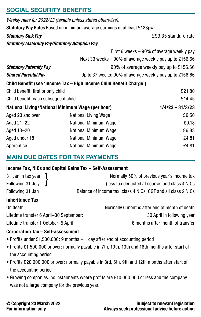## **SOCIAL SECURITY BENEFITS**

|                                                       | Weekly rates for 2022/23 (taxable unless stated otherwise).               |                                                           |
|-------------------------------------------------------|---------------------------------------------------------------------------|-----------------------------------------------------------|
|                                                       | Statutory Pay Rates Based on minimum average earnings of at least £123pw: |                                                           |
| <b>Statutory Sick Pay</b>                             |                                                                           | £99.35 standard rate                                      |
| <b>Statutory Maternity Pay/Statutory Adoption Pay</b> |                                                                           |                                                           |
|                                                       |                                                                           | First 6 weeks – 90% of average weekly pay                 |
|                                                       |                                                                           | Next 33 weeks $-90\%$ of average weekly pay up to £156.66 |
| <b>Statutory Paternity Pay</b>                        |                                                                           | 90% of average weekly pay up to £156.66                   |
| <b>Shared Parental Pay</b>                            |                                                                           | Up to 37 weeks: 90% of average weekly pay up to £156.66   |
|                                                       | Child Benefit (see 'Income Tax - High Income Child Benefit Charge')       |                                                           |
| Child benefit, first or only child                    |                                                                           | £21.80                                                    |
| Child benefit, each subsequent child                  |                                                                           | £14.45                                                    |
|                                                       | <b>National Living/National Minimum Wage (per hour)</b>                   | $1/4/22 - 31/3/23$                                        |
| Aged 23 and over                                      | <b>National Living Wage</b>                                               | £9.50                                                     |
| Aged 21-22                                            | National Minimum Wage                                                     | £9.18                                                     |
| Aged 18-20                                            | National Minimum Wage                                                     | £6.83                                                     |
| Aged under 18                                         | National Minimum Wage                                                     | £4.81                                                     |
| Apprentice                                            | National Minimum Wage                                                     | £4.81                                                     |

## **MAIN DUE DATES FOR TAX PAYMENTS**

#### **Income Tax, NICs and Capital Gains Tax – Self-Assessment**

| 31 Jan in tax year  | Normally 50% of previous year's income tax                    |
|---------------------|---------------------------------------------------------------|
| Following 31 July ∫ | (less tax deducted at source) and class 4 NICs                |
| Following 31 Jan    | Balance of income tax, class 4 NICs, CGT and all class 2 NICs |

## **Inheritance Tax**

| $0 - 0 - 1 = 1 - 1$                     |                                               |
|-----------------------------------------|-----------------------------------------------|
| Lifetime transfer 1 October-5 April:    | 6 months after month of transfer              |
| Lifetime transfer 6 April-30 September: | 30 April in following year                    |
| On death:                               | Normally 6 months after end of month of death |

#### **Corporation Tax – Self-assessment**

- Profits under £1,500,000: 9 months + 1 day after end of accounting period
- Profits £1,500,000 or over: normally payable in 7th, 10th, 13th and 16th months after start of the accounting period
- Profits £20,000,000 or over: normally payable in 3rd, 6th, 9th and 12th months after start of the accounting period
- Growing companies: no instalments where profits are £10,000,000 or less and the company was not a large company for the previous year.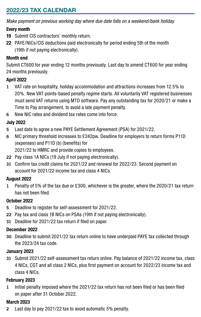## **2022/23 TAX CALENDAR**

*Make payment on previous working day where due date falls on a weekend/bank holiday.*

## **Every month**

- **19** Submit CIS contractors' monthly return.
- **22** PAYE/NICs/CIS deductions paid electronically for period ending 5th of the month (19th if not paying electronically).

## **Month end**

Submit CT600 for year ending 12 months previously. Last day to amend CT600 for year ending 24 months previously.

## **April 2022**

- **1** VAT rate on hospitality, holiday accommodation and attractions increases from 12.5% to 20%. New VAT points-based penalty regime starts. All voluntarily VAT registered businesses must send VAT returns using MTD software. Pay any outstanding tax for 2020/21 or make a Time to Pay arrangement, to avoid a late payment penalty.
- **6** New NIC rates and dividend tax rates come into force.

## **July 2022**

- **5** Last date to agree a new PAYE Settlement Agreement (PSA) for 2021/22.
- **6** NIC primary threshold increases to £242pw. Deadline for employers to return forms P11D (expenses) and P11D (b) (benefits) for

2021/22 to HMRC and provide copies to employees.

- **22** Pay class 1A NICs (19 July if not paying electronically).
- **31** Confirm tax credit claims for 2021/22 and renewal for 2022/23. Second payment on account for 2021/22 income tax and class 4 NICs.

### **August 2022**

**1** Penalty of 5% of the tax due or £300, whichever is the greater, where the 2020/21 tax return has not been filed.

## **October 2022**

- **5** Deadline to register for self-assessment for 2021/22.
- **22** Pay tax and class 1B NICs on PSAs (19th if not paying electronically).
- **31** Deadline for 2021/22 tax return if filed on paper.

### **December 2022**

**30** Deadline to submit 2021/22 tax return online to have underpaid PAYE tax collected through the 2023/24 tax code.

### **January 2023**

**31** Submit 2021/22 self-assessment tax return online. Pay balance of 2021/22 income tax, class 4 NICs, CGT and all class 2 NICs, plus first payment on account for 2022/23 income tax and class 4 NICs.

### **February 2023**

**1** Initial penalty imposed where the 2021/22 tax return has not been filed or has been filed on paper after 31 October 2022.

## **March 2023**

**2** Last day to pay 2021/22 tax to avoid automatic 5% penalty.